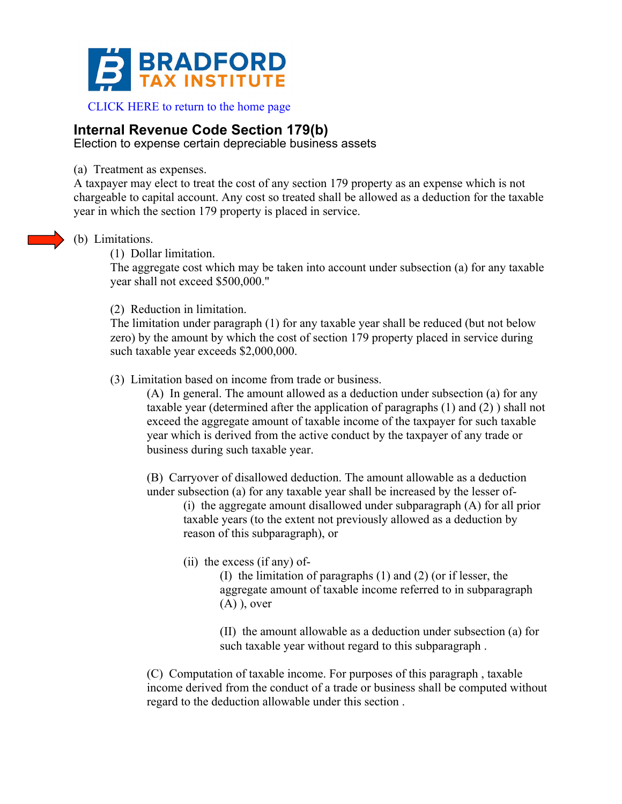

 [CLICK HERE to return to the home page](www.bradfordtaxinstitute.com) 

## **Internal Revenue Code Section 179(b)**

Election to expense certain depreciable business assets

(a) Treatment as expenses.

A taxpayer may elect to treat the cost of any section 179 property as an expense which is not chargeable to capital account. Any cost so treated shall be allowed as a deduction for the taxable year in which the section 179 property is placed in service.

- (b) Limitations.
	- (1) Dollar limitation.

The aggregate cost which may be taken into account under subsection (a) for any taxable year shall not exceed \$500,000."

(2) Reduction in limitation.

The limitation under paragraph (1) for any taxable year shall be reduced (but not below zero) by the amount by which the cost of section 179 property placed in service during such taxable year exceeds \$2,000,000.

(3) Limitation based on income from trade or business.

(A) In general. The amount allowed as a deduction under subsection (a) for any taxable year (determined after the application of paragraphs (1) and (2) ) shall not exceed the aggregate amount of taxable income of the taxpayer for such taxable year which is derived from the active conduct by the taxpayer of any trade or business during such taxable year.

(B) Carryover of disallowed deduction. The amount allowable as a deduction under subsection (a) for any taxable year shall be increased by the lesser of-

(i) the aggregate amount disallowed under subparagraph (A) for all prior taxable years (to the extent not previously allowed as a deduction by reason of this subparagraph), or

(ii) the excess (if any) of-

(I) the limitation of paragraphs (1) and (2) (or if lesser, the aggregate amount of taxable income referred to in subparagraph  $(A)$ ), over

(II) the amount allowable as a deduction under subsection (a) for such taxable year without regard to this subparagraph .

(C) Computation of taxable income. For purposes of this paragraph , taxable income derived from the conduct of a trade or business shall be computed without regard to the deduction allowable under this section .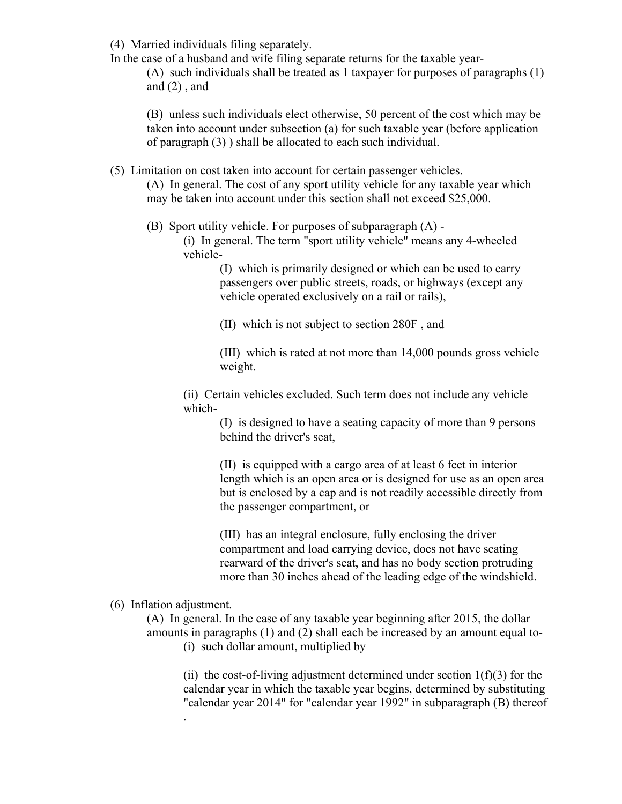(4) Married individuals filing separately.

In the case of a husband and wife filing separate returns for the taxable year-

(A) such individuals shall be treated as 1 taxpayer for purposes of paragraphs (1) and  $(2)$ , and

(B) unless such individuals elect otherwise, 50 percent of the cost which may be taken into account under subsection (a) for such taxable year (before application of paragraph (3) ) shall be allocated to each such individual.

(5) Limitation on cost taken into account for certain passenger vehicles.

(A) In general. The cost of any sport utility vehicle for any taxable year which may be taken into account under this section shall not exceed \$25,000.

(B) Sport utility vehicle. For purposes of subparagraph (A) -

(i) In general. The term "sport utility vehicle" means any 4-wheeled vehicle-

> (I) which is primarily designed or which can be used to carry passengers over public streets, roads, or highways (except any vehicle operated exclusively on a rail or rails),

(II) which is not subject to section 280F , and

(III) which is rated at not more than 14,000 pounds gross vehicle weight.

(ii) Certain vehicles excluded. Such term does not include any vehicle which-

> (I) is designed to have a seating capacity of more than 9 persons behind the driver's seat,

(II) is equipped with a cargo area of at least 6 feet in interior length which is an open area or is designed for use as an open area but is enclosed by a cap and is not readily accessible directly from the passenger compartment, or

(III) has an integral enclosure, fully enclosing the driver compartment and load carrying device, does not have seating rearward of the driver's seat, and has no body section protruding more than 30 inches ahead of the leading edge of the windshield.

(6) Inflation adjustment.

.

(A) In general. In the case of any taxable year beginning after 2015, the dollar amounts in paragraphs (1) and (2) shall each be increased by an amount equal to- (i) such dollar amount, multiplied by

(ii) the cost-of-living adjustment determined under section  $1(f)(3)$  for the calendar year in which the taxable year begins, determined by substituting "calendar year 2014" for "calendar year 1992" in subparagraph (B) thereof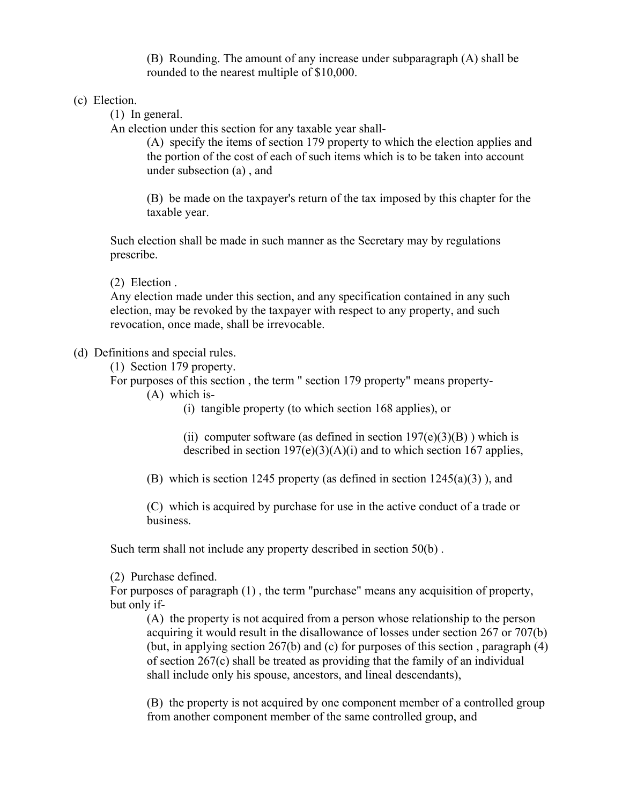(B) Rounding. The amount of any increase under subparagraph (A) shall be rounded to the nearest multiple of \$10,000.

(c) Election.

(1) In general.

An election under this section for any taxable year shall-

(A) specify the items of section 179 property to which the election applies and the portion of the cost of each of such items which is to be taken into account under subsection (a) , and

(B) be made on the taxpayer's return of the tax imposed by this chapter for the taxable year.

Such election shall be made in such manner as the Secretary may by regulations prescribe.

(2) Election .

Any election made under this section, and any specification contained in any such election, may be revoked by the taxpayer with respect to any property, and such revocation, once made, shall be irrevocable.

(d) Definitions and special rules.

(1) Section 179 property.

For purposes of this section , the term " section 179 property" means property-

(A) which is-

(i) tangible property (to which section 168 applies), or

(ii) computer software (as defined in section  $197(e)(3)(B)$ ) which is described in section  $197(e)(3)(A)(i)$  and to which section 167 applies,

(B) which is section 1245 property (as defined in section  $1245(a)(3)$ ), and

(C) which is acquired by purchase for use in the active conduct of a trade or business.

Such term shall not include any property described in section 50(b) .

(2) Purchase defined.

For purposes of paragraph (1) , the term "purchase" means any acquisition of property, but only if-

(A) the property is not acquired from a person whose relationship to the person acquiring it would result in the disallowance of losses under section 267 or 707(b) (but, in applying section  $267(b)$  and (c) for purposes of this section, paragraph (4) of section 267(c) shall be treated as providing that the family of an individual shall include only his spouse, ancestors, and lineal descendants),

(B) the property is not acquired by one component member of a controlled group from another component member of the same controlled group, and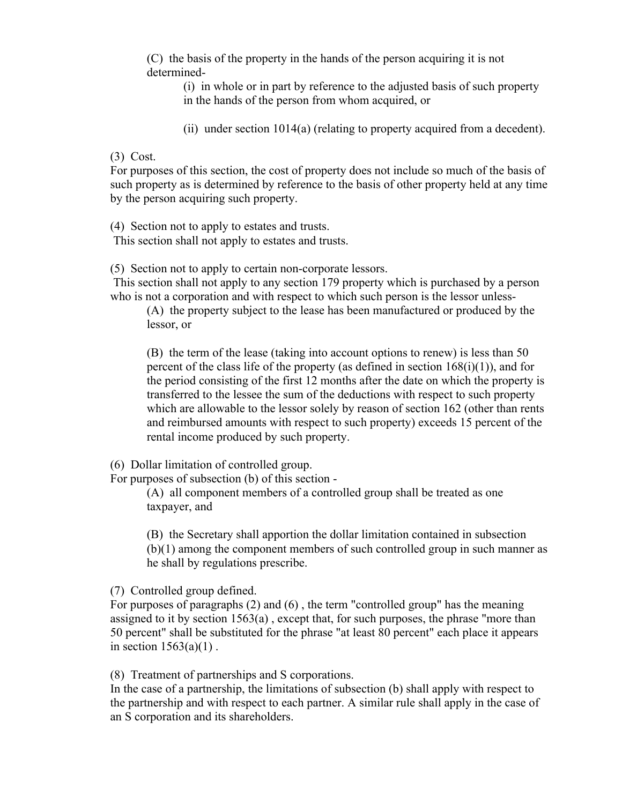(C) the basis of the property in the hands of the person acquiring it is not determined-

(i) in whole or in part by reference to the adjusted basis of such property in the hands of the person from whom acquired, or

(ii) under section 1014(a) (relating to property acquired from a decedent).

## (3) Cost.

For purposes of this section, the cost of property does not include so much of the basis of such property as is determined by reference to the basis of other property held at any time by the person acquiring such property.

(4) Section not to apply to estates and trusts.

This section shall not apply to estates and trusts.

(5) Section not to apply to certain non-corporate lessors.

This section shall not apply to any section 179 property which is purchased by a person who is not a corporation and with respect to which such person is the lessor unless-

(A) the property subject to the lease has been manufactured or produced by the lessor, or

(B) the term of the lease (taking into account options to renew) is less than 50 percent of the class life of the property (as defined in section  $168(i)(1)$ ), and for the period consisting of the first 12 months after the date on which the property is transferred to the lessee the sum of the deductions with respect to such property which are allowable to the lessor solely by reason of section 162 (other than rents and reimbursed amounts with respect to such property) exceeds 15 percent of the rental income produced by such property.

(6) Dollar limitation of controlled group.

For purposes of subsection (b) of this section -

(A) all component members of a controlled group shall be treated as one taxpayer, and

(B) the Secretary shall apportion the dollar limitation contained in subsection (b)(1) among the component members of such controlled group in such manner as he shall by regulations prescribe.

(7) Controlled group defined.

For purposes of paragraphs (2) and (6) , the term "controlled group" has the meaning assigned to it by section 1563(a) , except that, for such purposes, the phrase "more than 50 percent" shall be substituted for the phrase "at least 80 percent" each place it appears in section  $1563(a)(1)$ .

(8) Treatment of partnerships and S corporations.

In the case of a partnership, the limitations of subsection (b) shall apply with respect to the partnership and with respect to each partner. A similar rule shall apply in the case of an S corporation and its shareholders.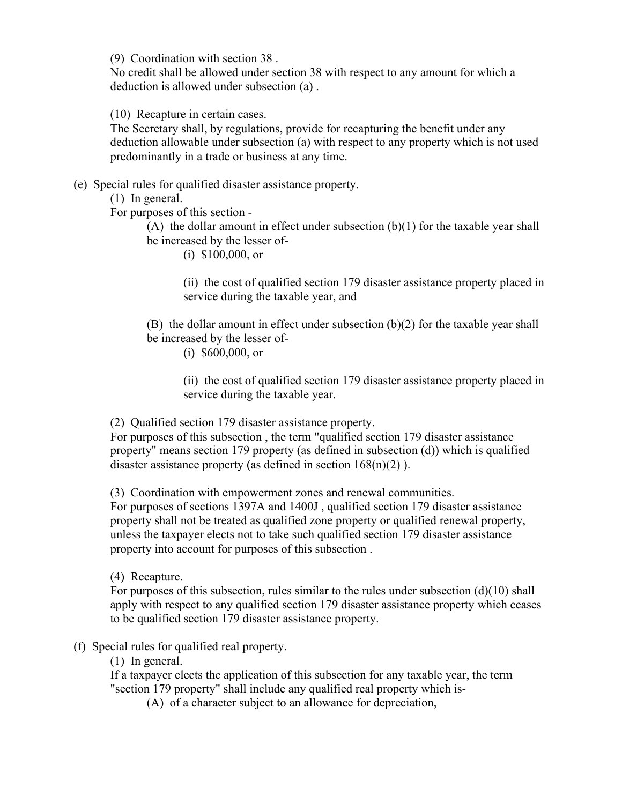(9) Coordination with section 38 .

No credit shall be allowed under section 38 with respect to any amount for which a deduction is allowed under subsection (a) .

(10) Recapture in certain cases.

The Secretary shall, by regulations, provide for recapturing the benefit under any deduction allowable under subsection (a) with respect to any property which is not used predominantly in a trade or business at any time.

(e) Special rules for qualified disaster assistance property.

(1) In general.

For purposes of this section -

(A) the dollar amount in effect under subsection (b)(1) for the taxable year shall be increased by the lesser of-

(i) \$100,000, or

(ii) the cost of qualified section 179 disaster assistance property placed in service during the taxable year, and

(B) the dollar amount in effect under subsection (b)(2) for the taxable year shall be increased by the lesser of-

(i) \$600,000, or

(ii) the cost of qualified section 179 disaster assistance property placed in service during the taxable year.

(2) Qualified section 179 disaster assistance property.

For purposes of this subsection , the term "qualified section 179 disaster assistance property" means section 179 property (as defined in subsection (d)) which is qualified disaster assistance property (as defined in section 168(n)(2) ).

(3) Coordination with empowerment zones and renewal communities.

For purposes of sections 1397A and 1400J , qualified section 179 disaster assistance property shall not be treated as qualified zone property or qualified renewal property, unless the taxpayer elects not to take such qualified section 179 disaster assistance property into account for purposes of this subsection .

(4) Recapture.

For purposes of this subsection, rules similar to the rules under subsection  $(d)(10)$  shall apply with respect to any qualified section 179 disaster assistance property which ceases to be qualified section 179 disaster assistance property.

## (f) Special rules for qualified real property.

(1) In general.

If a taxpayer elects the application of this subsection for any taxable year, the term "section 179 property" shall include any qualified real property which is-

(A) of a character subject to an allowance for depreciation,